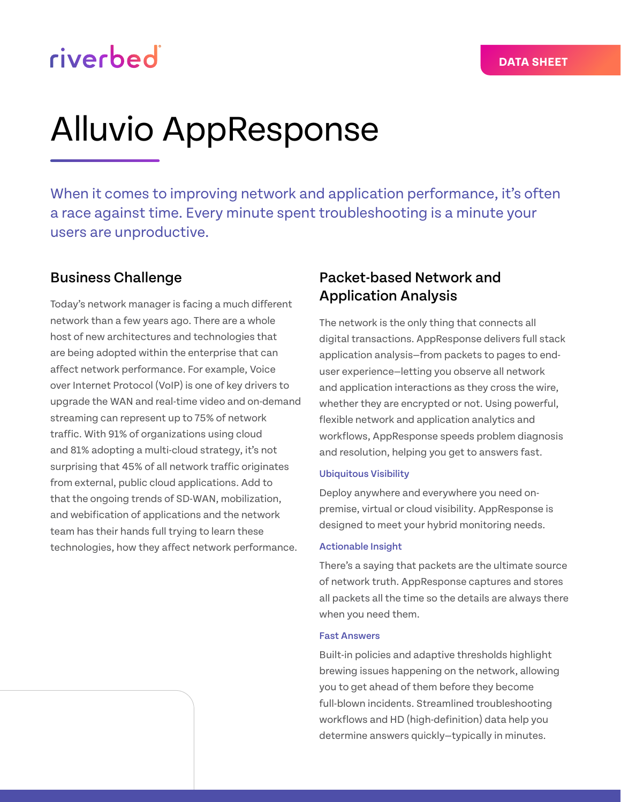# riverbed

# Alluvio AppResponse

When it comes to improving network and application performance, it's often a race against time. Every minute spent troubleshooting is a minute your users are unproductive.

## Business Challenge

Today's network manager is facing a much different network than a few years ago. There are a whole host of new architectures and technologies that are being adopted within the enterprise that can affect network performance. For example, Voice over Internet Protocol (VoIP) is one of key drivers to upgrade the WAN and real-time video and on-demand streaming can represent up to 75% of network traffic. With 91% of organizations using cloud and 81% adopting a multi-cloud strategy, it's not surprising that 45% of all network traffic originates from external, public cloud applications. Add to that the ongoing trends of SD-WAN, mobilization, and webification of applications and the network team has their hands full trying to learn these technologies, how they affect network performance.

## Packet-based Network and Application Analysis

The network is the only thing that connects all digital transactions. AppResponse delivers full stack application analysis—from packets to pages to enduser experience—letting you observe all network and application interactions as they cross the wire, whether they are encrypted or not. Using powerful, flexible network and application analytics and workflows, AppResponse speeds problem diagnosis and resolution, helping you get to answers fast.

## Ubiquitous Visibility

Deploy anywhere and everywhere you need onpremise, virtual or cloud visibility. AppResponse is designed to meet your hybrid monitoring needs.

## Actionable Insight

There's a saying that packets are the ultimate source of network truth. AppResponse captures and stores all packets all the time so the details are always there when you need them.

## Fast Answers

Built-in policies and adaptive thresholds highlight brewing issues happening on the network, allowing you to get ahead of them before they become full-blown incidents. Streamlined troubleshooting workflows and HD (high-definition) data help you determine answers quickly—typically in minutes.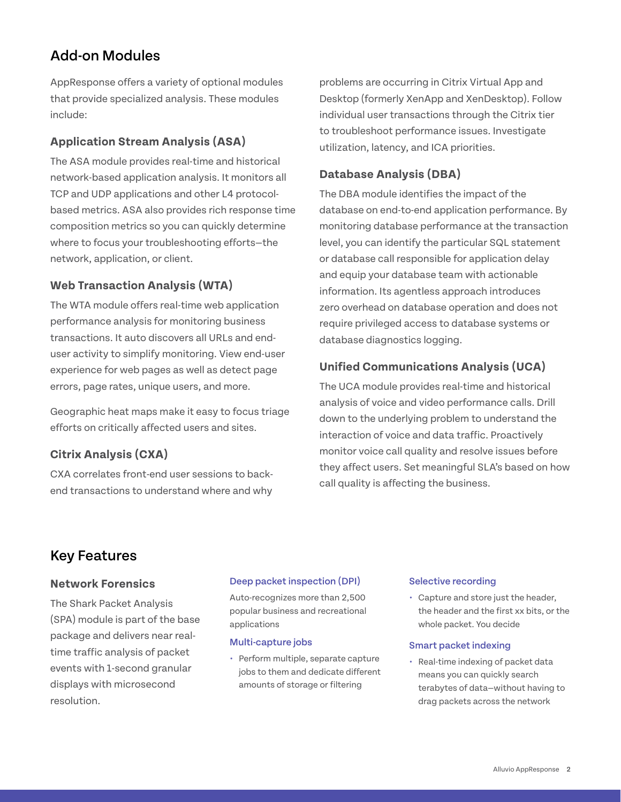## Add-on Modules

AppResponse offers a variety of optional modules that provide specialized analysis. These modules include:

## **Application Stream Analysis (ASA)**

The ASA module provides real-time and historical network-based application analysis. It monitors all TCP and UDP applications and other L4 protocolbased metrics. ASA also provides rich response time composition metrics so you can quickly determine where to focus your troubleshooting efforts—the network, application, or client.

## **Web Transaction Analysis (WTA)**

The WTA module offers real-time web application performance analysis for monitoring business transactions. It auto discovers all URLs and enduser activity to simplify monitoring. View end-user experience for web pages as well as detect page errors, page rates, unique users, and more.

Geographic heat maps make it easy to focus triage efforts on critically affected users and sites.

## **Citrix Analysis (CXA)**

CXA correlates front-end user sessions to backend transactions to understand where and why

problems are occurring in Citrix Virtual App and Desktop (formerly XenApp and XenDesktop). Follow individual user transactions through the Citrix tier to troubleshoot performance issues. Investigate utilization, latency, and ICA priorities.

## **Database Analysis (DBA)**

The DBA module identifies the impact of the database on end-to-end application performance. By monitoring database performance at the transaction level, you can identify the particular SQL statement or database call responsible for application delay and equip your database team with actionable information. Its agentless approach introduces zero overhead on database operation and does not require privileged access to database systems or database diagnostics logging.

## **Unified Communications Analysis (UCA)**

The UCA module provides real-time and historical analysis of voice and video performance calls. Drill down to the underlying problem to understand the interaction of voice and data traffic. Proactively monitor voice call quality and resolve issues before they affect users. Set meaningful SLA's based on how call quality is affecting the business.

## Key Features

## **Network Forensics**

The Shark Packet Analysis (SPA) module is part of the base package and delivers near realtime traffic analysis of packet events with 1-second granular displays with microsecond resolution.

## Deep packet inspection (DPI)

Auto-recognizes more than 2,500 popular business and recreational applications

## Multi-capture jobs

**•** Perform multiple, separate capture jobs to them and dedicate different amounts of storage or filtering

## Selective recording

**•** Capture and store just the header, the header and the first xx bits, or the whole packet. You decide

## Smart packet indexing

**•** Real-time indexing of packet data means you can quickly search terabytes of data—without having to drag packets across the network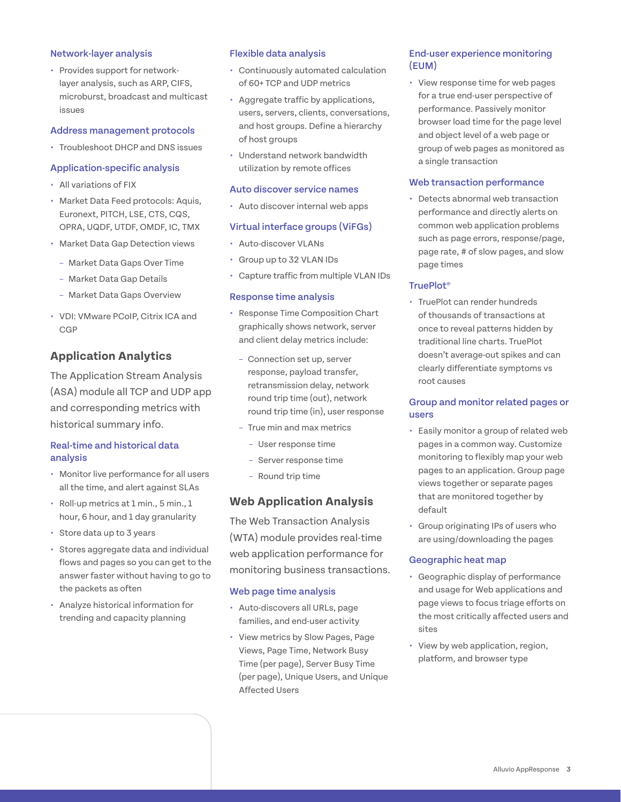## Network-layer analysis

**•** Provides support for networklayer analysis, such as ARP, CIFS, microburst, broadcast and multicast issues

## Address management protocols

**•** Troubleshoot DHCP and DNS issues

## Application-specific analysis

- **•** All variations of FIX
- **•** Market Data Feed protocols: Aquis, Euronext, PITCH, LSE, CTS, CQS, OPRA, UQDF, UTDF, OMDF, IC, TMX
- **•** Market Data Gap Detection views
	- Market Data Gaps Over Time
	- Market Data Gap Details
	- Market Data Gaps Overview
- **•** VDI: VMware PCoIP, Citrix ICA and **CGP**

## **Application Analytics**

The Application Stream Analysis (ASA) module all TCP and UDP app and corresponding metrics with historical summary info.

## Real-time and historical data analysis

- **•** Monitor live performance for all users all the time, and alert against SLAs
- **•** Roll-up metrics at 1 min., 5 min., 1 hour, 6 hour, and 1 day granularity
- **•** Store data up to 3 years
- **•** Stores aggregate data and individual flows and pages so you can get to the answer faster without having to go to the packets as often
- **•** Analyze historical information for trending and capacity planning

## Flexible data analysis

- **•** Continuously automated calculation of 60+ TCP and UDP metrics
- **•** Aggregate traffic by applications, users, servers, clients, conversations, and host groups. Define a hierarchy of host groups
- **•** Understand network bandwidth utilization by remote offices

#### Auto discover service names

**•** Auto discover internal web apps

## Virtual interface groups (ViFGs)

- **•** Auto-discover VLANs
- **•** Group up to 32 VLAN IDs
- **•** Capture traffic from multiple VLAN IDs

## Response time analysis

- **•** Response Time Composition Chart graphically shows network, server and client delay metrics include:
- Connection set up, server response, payload transfer, retransmission delay, network round trip time (out), network round trip time (in), user response
- True min and max metrics
	- User response time
	- Server response time
	- Round trip time

## **Web Application Analysis**

The Web Transaction Analysis (WTA) module provides real-time web application performance for monitoring business transactions.

## Web page time analysis

- **•** Auto-discovers all URLs, page families, and end-user activity
- **•** View metrics by Slow Pages, Page Views, Page Time, Network Busy Time (per page), Server Busy Time (per page), Unique Users, and Unique Affected Users

## End-user experience monitoring (EUM)

**•** View response time for web pages for a true end-user perspective of performance. Passively monitor browser load time for the page level and object level of a web page or group of web pages as monitored as a single transaction

## Web transaction performance

**•** Detects abnormal web transaction performance and directly alerts on common web application problems such as page errors, response/page, page rate, # of slow pages, and slow page times

## TruePlot®

**•** TruePlot can render hundreds of thousands of transactions at once to reveal patterns hidden by traditional line charts. TruePlot doesn't average-out spikes and can clearly differentiate symptoms vs root causes

## Group and monitor related pages or users

- **•** Easily monitor a group of related web pages in a common way. Customize monitoring to flexibly map your web pages to an application. Group page views together or separate pages that are monitored together by default
- **•** Group originating IPs of users who are using/downloading the pages

## Geographic heat map

- **•** Geographic display of performance and usage for Web applications and page views to focus triage efforts on the most critically affected users and sites
- **•** View by web application, region, platform, and browser type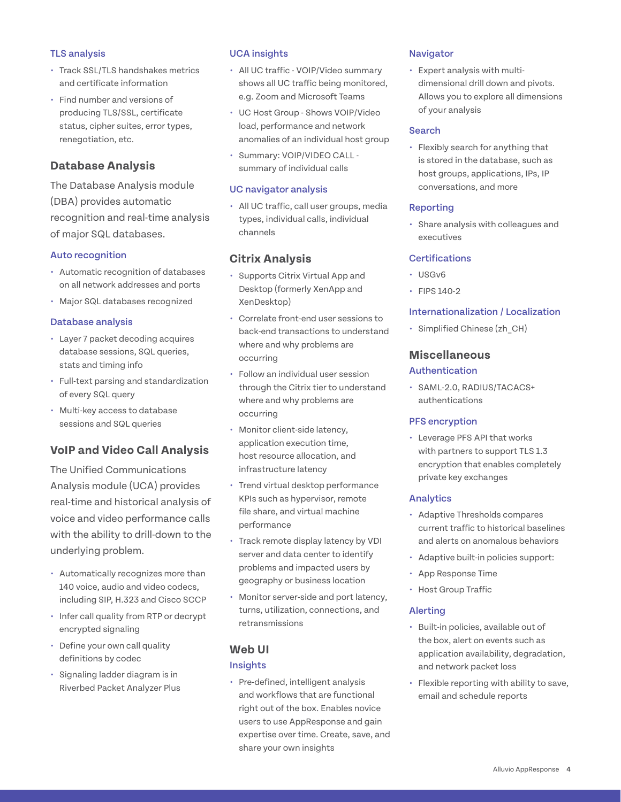## TLS analysis

- **•** Track SSL/TLS handshakes metrics and certificate information
- **•** Find number and versions of producing TLS/SSL, certificate status, cipher suites, error types, renegotiation, etc.

## **Database Analysis**

The Database Analysis module (DBA) provides automatic recognition and real-time analysis of major SQL databases.

## Auto recognition

- **•** Automatic recognition of databases on all network addresses and ports
- **•** Major SQL databases recognized

## Database analysis

- **•** Layer 7 packet decoding acquires database sessions, SQL queries, stats and timing info
- **•** Full-text parsing and standardization of every SQL query
- **•** Multi-key access to database sessions and SQL queries

## **VoIP and Video Call Analysis**

The Unified Communications Analysis module (UCA) provides real-time and historical analysis of voice and video performance calls with the ability to drill-down to the underlying problem.

- **•** Automatically recognizes more than 140 voice, audio and video codecs, including SIP, H.323 and Cisco SCCP
- **•** Infer call quality from RTP or decrypt encrypted signaling
- **•** Define your own call quality definitions by codec
- **•** Signaling ladder diagram is in Riverbed Packet Analyzer Plus

## UCA insights

- **•** All UC traffic VOIP/Video summary shows all UC traffic being monitored, e.g. Zoom and Microsoft Teams
- **•** UC Host Group Shows VOIP/Video load, performance and network anomalies of an individual host group
- **•** Summary: VOIP/VIDEO CALL summary of individual calls

## UC navigator analysis

**•** All UC traffic, call user groups, media types, individual calls, individual channels

## **Citrix Analysis**

- **•** Supports Citrix Virtual App and Desktop (formerly XenApp and XenDesktop)
- **•** Correlate front-end user sessions to back-end transactions to understand where and why problems are occurring
- **•** Follow an individual user session through the Citrix tier to understand where and why problems are occurring
- **•** Monitor client-side latency, application execution time, host resource allocation, and infrastructure latency
- **•** Trend virtual desktop performance KPIs such as hypervisor, remote file share, and virtual machine performance
- **•** Track remote display latency by VDI server and data center to identify problems and impacted users by geography or business location
- **•** Monitor server-side and port latency, turns, utilization, connections, and retransmissions

## **Web UI**

## Insights

**•** Pre-defined, intelligent analysis and workflows that are functional right out of the box. Enables novice users to use AppResponse and gain expertise over time. Create, save, and share your own insights

## **Navigator**

**•** Expert analysis with multidimensional drill down and pivots. Allows you to explore all dimensions of your analysis

## Search

**•** Flexibly search for anything that is stored in the database, such as host groups, applications, IPs, IP conversations, and more

## Reporting

**•** Share analysis with colleagues and executives

## **Certifications**

- **•** USGv6
- **•** FIPS 140-2

## Internationalization / Localization

**•** Simplified Chinese (zh\_CH)

## **Miscellaneous**

## Authentication

**•** SAML-2.0, RADIUS/TACACS+ authentications

## PFS encryption

**•** Leverage PFS API that works with partners to support TLS 1.3 encryption that enables completely private key exchanges

## Analytics

- **•** Adaptive Thresholds compares current traffic to historical baselines and alerts on anomalous behaviors
- **•** Adaptive built-in policies support:
- **•** App Response Time
- **•** Host Group Traffic

## Alerting

- **•** Built-in policies, available out of the box, alert on events such as application availability, degradation, and network packet loss
- **•** Flexible reporting with ability to save, email and schedule reports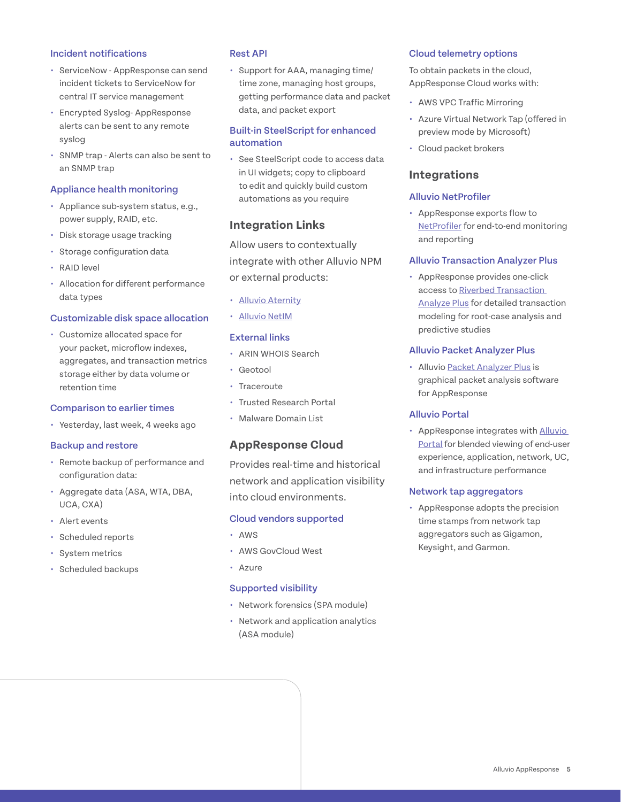## Incident notifications

- **•** ServiceNow AppResponse can send incident tickets to ServiceNow for central IT service management
- **•** Encrypted Syslog- AppResponse alerts can be sent to any remote syslog
- **•** SNMP trap Alerts can also be sent to an SNMP trap

## Appliance health monitoring

- **•** Appliance sub-system status, e.g., power supply, RAID, etc.
- **•** Disk storage usage tracking
- **•** Storage configuration data
- **•** RAID level
- **•** Allocation for different performance data types

#### Customizable disk space allocation

**•** Customize allocated space for your packet, microflow indexes, aggregates, and transaction metrics storage either by data volume or retention time

#### Comparison to earlier times

**•** Yesterday, last week, 4 weeks ago

## Backup and restore

- **•** Remote backup of performance and configuration data:
- **•** Aggregate data (ASA, WTA, DBA, UCA, CXA)
- **•** Alert events
- **•** Scheduled reports
- **•** System metrics
- **•** Scheduled backups

#### Rest API

**•** Support for AAA, managing time/ time zone, managing host groups, getting performance data and packet data, and packet export

## Built-in SteelScript for enhanced automation

**•** See SteelScript code to access data in UI widgets; copy to clipboard to edit and quickly build custom automations as you require

## **Integration Links**

Allow users to contextually integrate with other Alluvio NPM or external products:

- **•** [Alluvio Aternity](http://www.aternity.com/)
- **•** [Alluvio NetIM](https://www.riverbed.com/products/steelcentral/steelcentral-netim.html)

## External links

- **•** ARIN WHOIS Search
- **•** Geotool
- **•** Traceroute
- **•** Trusted Research Portal
- **•** Malware Domain List

## **AppResponse Cloud**

Provides real-time and historical network and application visibility into cloud environments.

#### Cloud vendors supported

- **•** AWS
- **•** AWS GovCloud West
- **•** Azure

#### Supported visibility

- **•** Network forensics (SPA module)
- **•** Network and application analytics (ASA module)

#### Cloud telemetry options

To obtain packets in the cloud, AppResponse Cloud works with:

- **•** AWS VPC Traffic Mirroring
- **•** Azure Virtual Network Tap (offered in preview mode by Microsoft)
- **•** Cloud packet brokers

## **Integrations**

## Alluvio NetProfiler

**•** AppResponse exports flow to [NetProfiler](https://www.riverbed.com/products/steelcentral/steelcentral-netprofiler.html) for end-to-end monitoring and reporting

#### Alluvio Transaction Analyzer Plus

**•** AppResponse provides one-click access to Riverbed [Transaction](https://www.riverbed.com/products/steelcentral/steelcentral-transaction-analyzer.html)  [Analyze Plus](https://www.riverbed.com/products/steelcentral/steelcentral-transaction-analyzer.html) for detailed transaction modeling for root-case analysis and predictive studies

## Alluvio Packet Analyzer Plus

**•** Alluvio [Packet Analyzer Plus](https://www.riverbed.com/products/steelcentral/steelcentral-packet-analyzer.html) is graphical packet analysis software for AppResponse

#### Alluvio Portal

**•** AppResponse integrates with Alluvio [Portal](https://www.riverbed.com/products/steelcentral/steelcentral-portal.html) for blended viewing of end-user experience, application, network, UC, and infrastructure performance

#### Network tap aggregators

**•** AppResponse adopts the precision time stamps from network tap aggregators such as Gigamon, Keysight, and Garmon.